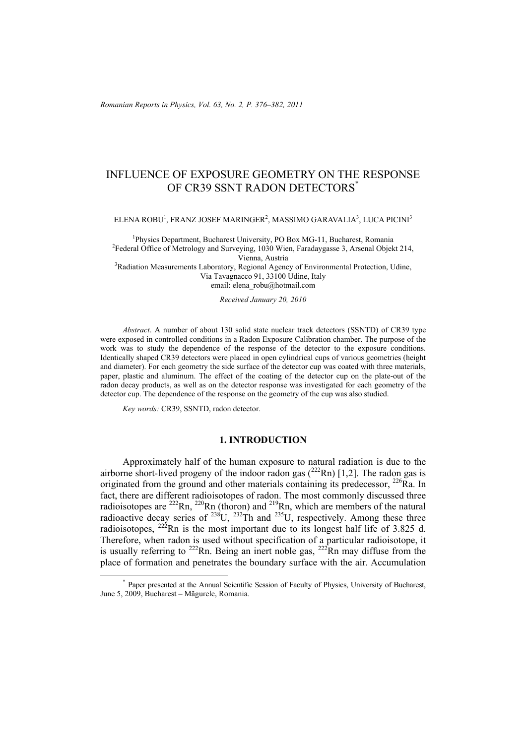# INFLUENCE OF EXPOSURE GEOMETRY ON THE RESPONSE OF CR39 SSNT RADON DETECTORS\*

### ELENA ROBU $^1$ , FRANZ JOSEF MARINGER $^2$ , MASSIMO GARAVALIA $^3$ , LUCA PICINI $^3$

<sup>1</sup>Physics Department, Bucharest University, PO Box MG-11, Bucharest, Romania<br><sup>2</sup>Eoderal Office of Matrolegy and Surveying, 1020 Wien, Enrodavagese 2, Arenal Objek <sup>2</sup> Federal Office of Metrology and Surveying, 1030 Wien, Faradaygasse 3, Arsenal Objekt 214, Vienna, Austria<br><sup>3</sup>Radiation Measurements Laboratory, Regional Agency of Environmental Protection, Udine,

Via Tavagnacco 91, 33100 Udine, Italy email: elena\_robu@hotmail.com

*Received January 20, 2010* 

*Abstract*. A number of about 130 solid state nuclear track detectors (SSNTD) of CR39 type were exposed in controlled conditions in a Radon Exposure Calibration chamber. The purpose of the work was to study the dependence of the response of the detector to the exposure conditions. Identically shaped CR39 detectors were placed in open cylindrical cups of various geometries (height and diameter). For each geometry the side surface of the detector cup was coated with three materials, paper, plastic and aluminum. The effect of the coating of the detector cup on the plate-out of the radon decay products, as well as on the detector response was investigated for each geometry of the detector cup. The dependence of the response on the geometry of the cup was also studied.

*Key words:* CR39, SSNTD, radon detector.

## **1. INTRODUCTION**

 Approximately half of the human exposure to natural radiation is due to the airborne short-lived progeny of the indoor radon gas  $(^{222}$ Rn) [1,2]. The radon gas is originated from the ground and other materials containing its predecessor,  $^{226}$ Ra. In fact, there are different radioisotopes of radon. The most commonly discussed three radioisotopes are  $^{222}$ Rn,  $^{220}$ Rn (thoron) and  $^{219}$ Rn, which are members of the natural radioactive decay series of  $^{238}U$ ,  $^{232}Th$  and  $^{235}U$ , respectively. Among these three radioisotopes,  $^{222}$ Rn is the most important due to its longest half life of 3.825 d. Therefore, when radon is used without specification of a particular radioisotope, it is usually referring to <sup>222</sup>Rn. Being an inert noble gas, <sup>222</sup>Rn may diffuse from the place of formation and penetrates the boundary surface with the air. Accumulation

 <sup>\*</sup> Paper presented at the Annual Scientific Session of Faculty of Physics, University of Bucharest, June 5, 2009, Bucharest – Măgurele, Romania.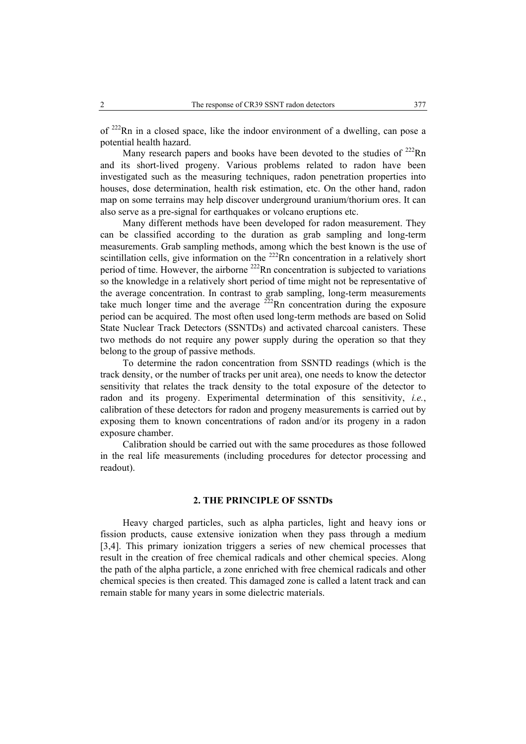of <sup>222</sup>Rn in a closed space, like the indoor environment of a dwelling, can pose a potential health hazard.

Many research papers and books have been devoted to the studies of  $^{222}$ Rn and its short-lived progeny. Various problems related to radon have been investigated such as the measuring techniques, radon penetration properties into houses, dose determination, health risk estimation, etc. On the other hand, radon map on some terrains may help discover underground uranium/thorium ores. It can also serve as a pre-signal for earthquakes or volcano eruptions etc.

 Many different methods have been developed for radon measurement. They can be classified according to the duration as grab sampling and long-term measurements. Grab sampling methods, among which the best known is the use of scintillation cells, give information on the  $^{222}$ Rn concentration in a relatively short period of time. However, the airborne  $^{222}$ Rn concentration is subjected to variations so the knowledge in a relatively short period of time might not be representative of the average concentration. In contrast to grab sampling, long-term measurements take much longer time and the average  $222$ Rn concentration during the exposure period can be acquired. The most often used long-term methods are based on Solid State Nuclear Track Detectors (SSNTDs) and activated charcoal canisters. These two methods do not require any power supply during the operation so that they belong to the group of passive methods.

 To determine the radon concentration from SSNTD readings (which is the track density, or the number of tracks per unit area), one needs to know the detector sensitivity that relates the track density to the total exposure of the detector to radon and its progeny. Experimental determination of this sensitivity, *i.e.*, calibration of these detectors for radon and progeny measurements is carried out by exposing them to known concentrations of radon and/or its progeny in a radon exposure chamber.

Calibration should be carried out with the same procedures as those followed in the real life measurements (including procedures for detector processing and readout).

# **2. THE PRINCIPLE OF SSNTDs**

 Heavy charged particles, such as alpha particles, light and heavy ions or fission products, cause extensive ionization when they pass through a medium [3,4]. This primary ionization triggers a series of new chemical processes that result in the creation of free chemical radicals and other chemical species. Along the path of the alpha particle, a zone enriched with free chemical radicals and other chemical species is then created. This damaged zone is called a latent track and can remain stable for many years in some dielectric materials.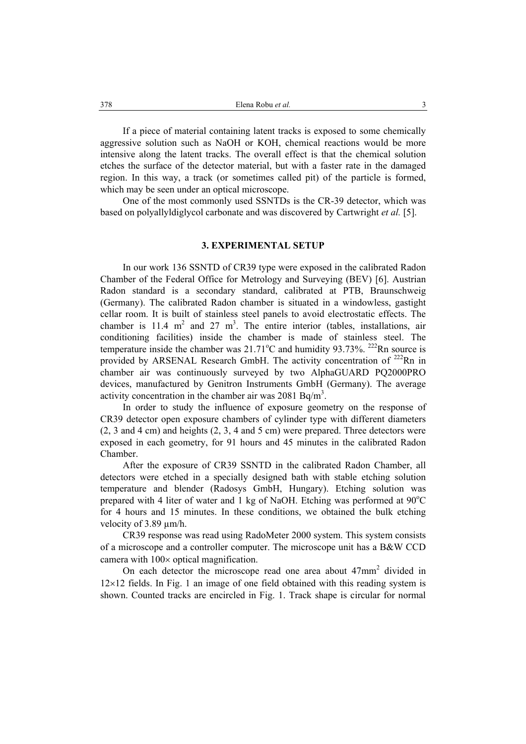If a piece of material containing latent tracks is exposed to some chemically aggressive solution such as NaOH or KOH, chemical reactions would be more intensive along the latent tracks. The overall effect is that the chemical solution etches the surface of the detector material, but with a faster rate in the damaged region. In this way, a track (or sometimes called pit) of the particle is formed, which may be seen under an optical microscope.

 One of the most commonly used SSNTDs is the CR-39 detector, which was based on polyallyldiglycol carbonate and was discovered by Cartwright *et al.* [5].

### **3. EXPERIMENTAL SETUP**

 In our work 136 SSNTD of CR39 type were exposed in the calibrated Radon Chamber of the Federal Office for Metrology and Surveying (BEV) [6]. Austrian Radon standard is a secondary standard, calibrated at PTB, Braunschweig (Germany). The calibrated Radon chamber is situated in a windowless, gastight cellar room. It is built of stainless steel panels to avoid electrostatic effects. The chamber is 11.4  $m^2$  and 27  $m^3$ . The entire interior (tables, installations, air conditioning facilities) inside the chamber is made of stainless steel. The temperature inside the chamber was  $21.71^{\circ}$ C and humidity 93.73%. <sup>222</sup>Rn source is provided by ARSENAL Research GmbH. The activity concentration of  $^{222}$ Rn in chamber air was continuously surveyed by two AlphaGUARD PQ2000PRO devices, manufactured by Genitron Instruments GmbH (Germany). The average activity concentration in the chamber air was  $2081$  Bq/m<sup>3</sup>.

 In order to study the influence of exposure geometry on the response of CR39 detector open exposure chambers of cylinder type with different diameters (2, 3 and 4 cm) and heights (2, 3, 4 and 5 cm) were prepared. Three detectors were exposed in each geometry, for 91 hours and 45 minutes in the calibrated Radon Chamber.

 After the exposure of CR39 SSNTD in the calibrated Radon Chamber, all detectors were etched in a specially designed bath with stable etching solution temperature and blender (Radosys GmbH, Hungary). Etching solution was prepared with 4 liter of water and 1 kg of NaOH. Etching was performed at 90°C for 4 hours and 15 minutes. In these conditions, we obtained the bulk etching velocity of 3.89 µm/h.

 CR39 response was read using RadoMeter 2000 system. This system consists of a microscope and a controller computer. The microscope unit has a B&W CCD camera with 100× optical magnification.

On each detector the microscope read one area about  $47 \text{mm}^2$  divided in  $12\times12$  fields. In Fig. 1 an image of one field obtained with this reading system is shown. Counted tracks are encircled in Fig. 1. Track shape is circular for normal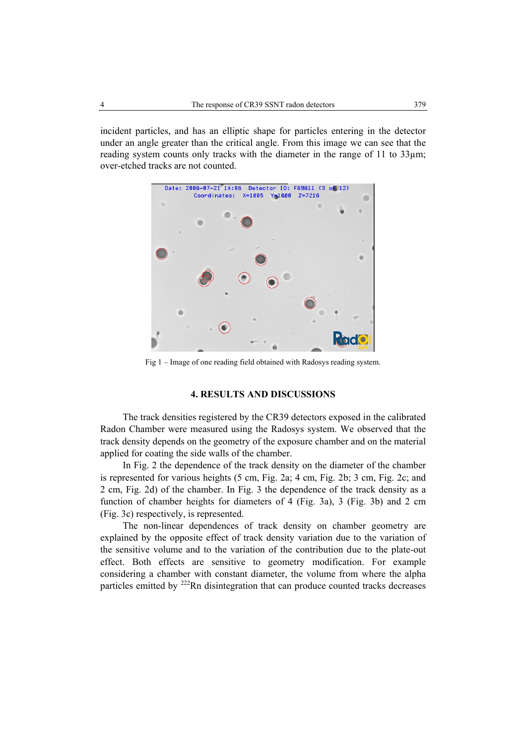incident particles, and has an elliptic shape for particles entering in the detector under an angle greater than the critical angle. From this image we can see that the reading system counts only tracks with the diameter in the range of 11 to 33µm; over-etched tracks are not counted.



Fig 1 – Image of one reading field obtained with Radosys reading system.

## **4. RESULTS AND DISCUSSIONS**

 The track densities registered by the CR39 detectors exposed in the calibrated Radon Chamber were measured using the Radosys system. We observed that the track density depends on the geometry of the exposure chamber and on the material applied for coating the side walls of the chamber.

 In Fig. 2 the dependence of the track density on the diameter of the chamber is represented for various heights (5 cm, Fig. 2a; 4 cm, Fig. 2b; 3 cm, Fig. 2c; and 2 cm, Fig. 2d) of the chamber. In Fig. 3 the dependence of the track density as a function of chamber heights for diameters of 4 (Fig. 3a), 3 (Fig. 3b) and 2 cm (Fig. 3c) respectively, is represented.

 The non-linear dependences of track density on chamber geometry are explained by the opposite effect of track density variation due to the variation of the sensitive volume and to the variation of the contribution due to the plate-out effect. Both effects are sensitive to geometry modification. For example considering a chamber with constant diameter, the volume from where the alpha particles emitted by  $^{222}$ Rn disintegration that can produce counted tracks decreases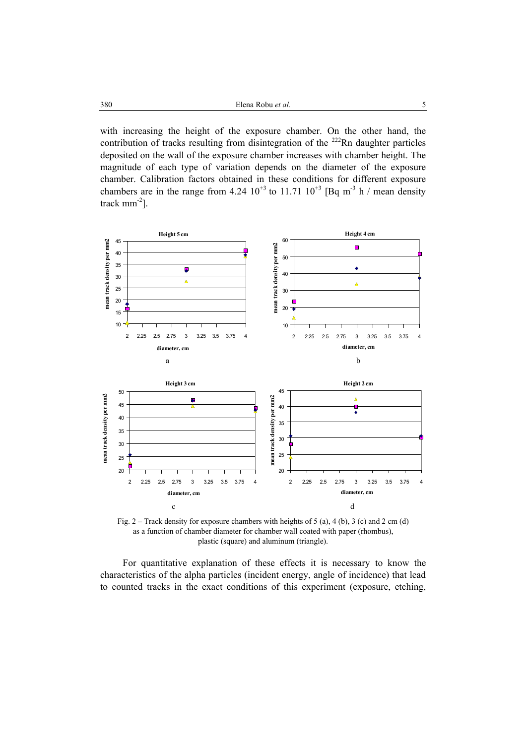with increasing the height of the exposure chamber. On the other hand, the contribution of tracks resulting from disintegration of the  $^{222}$ Rn daughter particles deposited on the wall of the exposure chamber increases with chamber height. The magnitude of each type of variation depends on the diameter of the exposure chamber. Calibration factors obtained in these conditions for different exposure chambers are in the range from 4.24  $10^{+3}$  to 11.71  $10^{+3}$  [Bq m<sup>-3</sup> h / mean density track  $mm^{-2}$ ].



Fig. 2 – Track density for exposure chambers with heights of 5 (a), 4 (b), 3 (c) and 2 cm (d) as a function of chamber diameter for chamber wall coated with paper (rhombus), plastic (square) and aluminum (triangle).

 For quantitative explanation of these effects it is necessary to know the characteristics of the alpha particles (incident energy, angle of incidence) that lead to counted tracks in the exact conditions of this experiment (exposure, etching,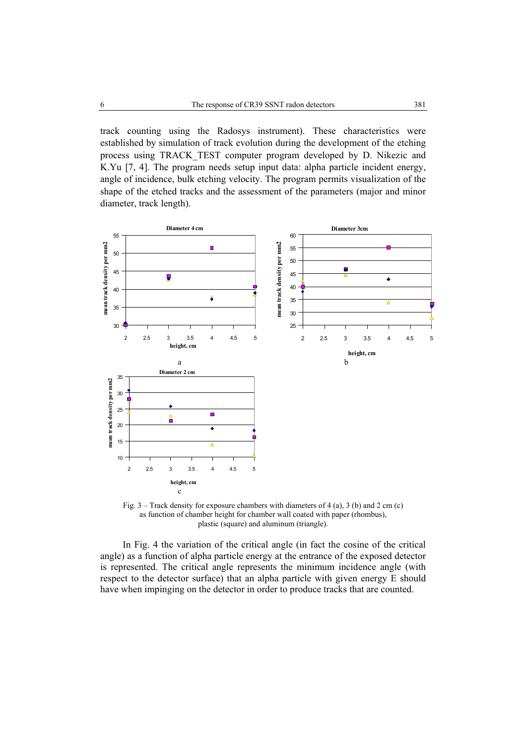track counting using the Radosys instrument). These characteristics were established by simulation of track evolution during the development of the etching process using TRACK\_TEST computer program developed by D. Nikezic and K.Yu [7, 4]. The program needs setup input data: alpha particle incident energy, angle of incidence, bulk etching velocity. The program permits visualization of the shape of the etched tracks and the assessment of the parameters (major and minor diameter, track length).



Fig. 3 – Track density for exposure chambers with diameters of 4 (a), 3 (b) and 2 cm (c) as function of chamber height for chamber wall coated with paper (rhombus), plastic (square) and aluminum (triangle).

 In Fig. 4 the variation of the critical angle (in fact the cosine of the critical angle) as a function of alpha particle energy at the entrance of the exposed detector is represented. The critical angle represents the minimum incidence angle (with respect to the detector surface) that an alpha particle with given energy E should have when impinging on the detector in order to produce tracks that are counted.